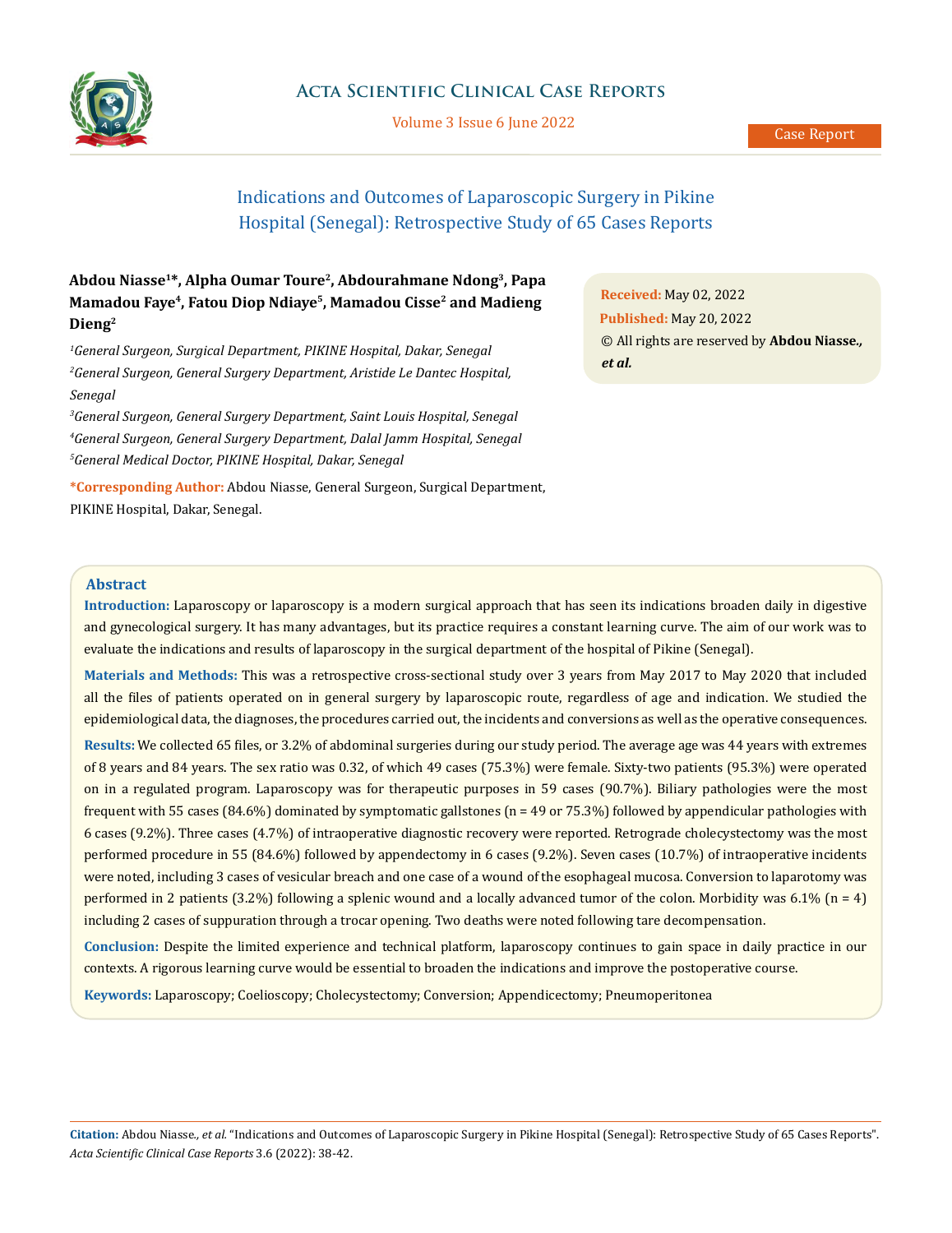

Volume 3 Issue 6 June 2022

# Indications and Outcomes of Laparoscopic Surgery in Pikine Hospital (Senegal): Retrospective Study of 65 Cases Reports

# **Abdou Niasse1\*, Alpha Oumar Toure2, Abdourahmane Ndong3, Papa Mamadou Faye4, Fatou Diop Ndiaye5, Mamadou Cisse2 and Madieng Dieng2**

*1 General Surgeon, Surgical Department, PIKINE Hospital, Dakar, Senegal 2 General Surgeon, General Surgery Department, Aristide Le Dantec Hospital, Senegal*

*3 General Surgeon, General Surgery Department, Saint Louis Hospital, Senegal 4 General Surgeon, General Surgery Department, Dalal Jamm Hospital, Senegal 5 General Medical Doctor, PIKINE Hospital, Dakar, Senegal* 

**\*Corresponding Author:** Abdou Niasse, General Surgeon, Surgical Department, PIKINE Hospital, Dakar, Senegal.

**Received:** May 02, 2022 **Published:** May 20, 2022 © All rights are reserved by **Abdou Niasse***., et al.*

# **Abstract**

**Introduction:** Laparoscopy or laparoscopy is a modern surgical approach that has seen its indications broaden daily in digestive and gynecological surgery. It has many advantages, but its practice requires a constant learning curve. The aim of our work was to evaluate the indications and results of laparoscopy in the surgical department of the hospital of Pikine (Senegal).

**Materials and Methods:** This was a retrospective cross-sectional study over 3 years from May 2017 to May 2020 that included all the files of patients operated on in general surgery by laparoscopic route, regardless of age and indication. We studied the epidemiological data, the diagnoses, the procedures carried out, the incidents and conversions as well as the operative consequences.

**Results:** We collected 65 files, or 3.2% of abdominal surgeries during our study period. The average age was 44 years with extremes of 8 years and 84 years. The sex ratio was 0.32, of which 49 cases (75.3%) were female. Sixty-two patients (95.3%) were operated on in a regulated program. Laparoscopy was for therapeutic purposes in 59 cases (90.7%). Biliary pathologies were the most frequent with 55 cases (84.6%) dominated by symptomatic gallstones (n = 49 or 75.3%) followed by appendicular pathologies with 6 cases (9.2%). Three cases (4.7%) of intraoperative diagnostic recovery were reported. Retrograde cholecystectomy was the most performed procedure in 55 (84.6%) followed by appendectomy in 6 cases (9.2%). Seven cases (10.7%) of intraoperative incidents were noted, including 3 cases of vesicular breach and one case of a wound of the esophageal mucosa. Conversion to laparotomy was performed in 2 patients (3.2%) following a splenic wound and a locally advanced tumor of the colon. Morbidity was 6.1% ( $n = 4$ ) including 2 cases of suppuration through a trocar opening. Two deaths were noted following tare decompensation.

**Conclusion:** Despite the limited experience and technical platform, laparoscopy continues to gain space in daily practice in our contexts. A rigorous learning curve would be essential to broaden the indications and improve the postoperative course.

**Keywords:** Laparoscopy; Coelioscopy; Cholecystectomy; Conversion; Appendicectomy; Pneumoperitonea

**Citation:** Abdou Niasse*., et al.* "Indications and Outcomes of Laparoscopic Surgery in Pikine Hospital (Senegal): Retrospective Study of 65 Cases Reports". *Acta Scientific Clinical Case Reports* 3.6 (2022): 38-42.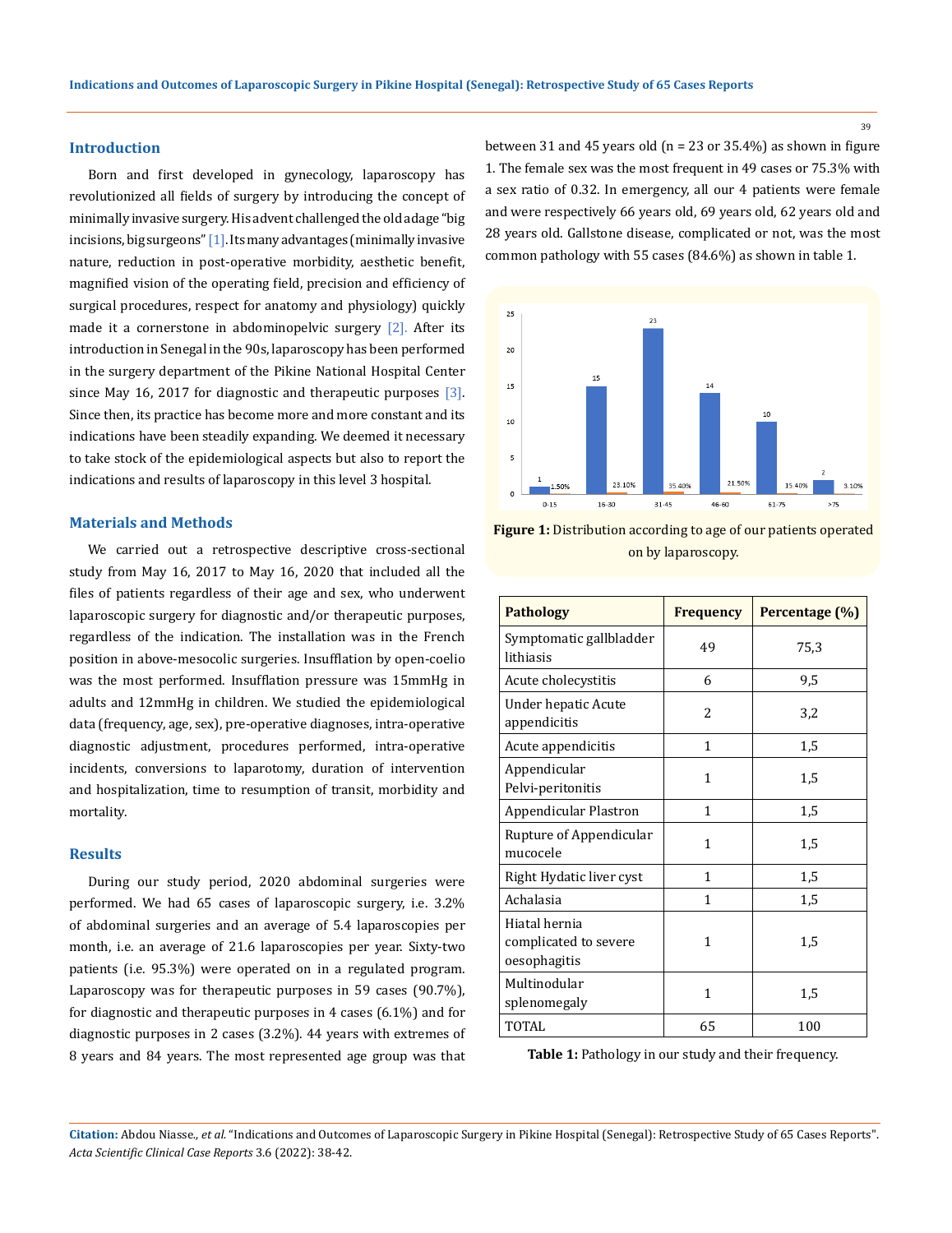#### **Introduction**

Born and first developed in gynecology, laparoscopy has revolutionized all fields of surgery by introducing the concept of minimally invasive surgery. His advent challenged the old adage "big incisions, big surgeons" [1]. Its many advantages (minimally invasive nature, reduction in post-operative morbidity, aesthetic benefit, magnified vision of the operating field, precision and efficiency of surgical procedures, respect for anatomy and physiology) quickly made it a cornerstone in abdominopelvic surgery  $[2]$ . After its introduction in Senegal in the 90s, laparoscopy has been performed in the surgery department of the Pikine National Hospital Center since May 16, 2017 for diagnostic and therapeutic purposes  $[3]$ . Since then, its practice has become more and more constant and its indications have been steadily expanding. We deemed it necessary to take stock of the epidemiological aspects but also to report the indications and results of laparoscopy in this level 3 hospital.

# **Materials and Methods**

We carried out a retrospective descriptive cross-sectional study from May 16, 2017 to May 16, 2020 that included all the files of patients regardless of their age and sex, who underwent laparoscopic surgery for diagnostic and/or therapeutic purposes, regardless of the indication. The installation was in the French position in above-mesocolic surgeries. Insufflation by open-coelio was the most performed. Insufflation pressure was 15mmHg in adults and 12mmHg in children. We studied the epidemiological data (frequency, age, sex), pre-operative diagnoses, intra-operative diagnostic adjustment, procedures performed, intra-operative incidents, conversions to laparotomy, duration of intervention and hospitalization, time to resumption of transit, morbidity and mortality.

#### **Results**

During our study period, 2020 abdominal surgeries were performed. We had 65 cases of laparoscopic surgery, i.e. 3.2% of abdominal surgeries and an average of 5.4 laparoscopies per month, i.e. an average of 21.6 laparoscopies per year. Sixty-two patients (i.e. 95.3%) were operated on in a regulated program. Laparoscopy was for therapeutic purposes in 59 cases (90.7%), for diagnostic and therapeutic purposes in 4 cases (6.1%) and for diagnostic purposes in 2 cases (3.2%). 44 years with extremes of 8 years and 84 years. The most represented age group was that

between 31 and 45 years old ( $n = 23$  or 35.4%) as shown in figure 1. The female sex was the most frequent in 49 cases or 75.3% with a sex ratio of 0.32. In emergency, all our 4 patients were female and were respectively 66 years old, 69 years old, 62 years old and 28 years old. Gallstone disease, complicated or not, was the most common pathology with 55 cases (84.6%) as shown in table 1.



**Figure 1:** Distribution according to age of our patients operated on by laparoscopy.

| <b>Pathology</b>                                       | <b>Frequency</b> | Percentage (%) |
|--------------------------------------------------------|------------------|----------------|
| Symptomatic gallbladder<br>lithiasis                   | 49               | 75,3           |
| Acute cholecystitis                                    | 6                | 9,5            |
| Under hepatic Acute<br>appendicitis                    | $\overline{c}$   | 3,2            |
| Acute appendicitis                                     | 1                | 1,5            |
| Appendicular<br>Pelvi-peritonitis                      | 1                | $1.5\,$        |
| Appendicular Plastron                                  | 1                | 1,5            |
| Rupture of Appendicular<br>mucocele                    | 1                | 1,5            |
| Right Hydatic liver cyst                               | 1                | 1,5            |
| Achalasia                                              | 1                | 1,5            |
| Hiatal hernia<br>complicated to severe<br>oesophagitis | 1                | 1.5            |
| Multinodular<br>splenomegaly                           | 1                | 1,5            |
| <b>TOTAL</b>                                           | 65               | 100            |

**Table 1:** Pathology in our study and their frequency.

**Citation:** Abdou Niasse*., et al.* "Indications and Outcomes of Laparoscopic Surgery in Pikine Hospital (Senegal): Retrospective Study of 65 Cases Reports". *Acta Scientific Clinical Case Reports* 3.6 (2022): 38-42.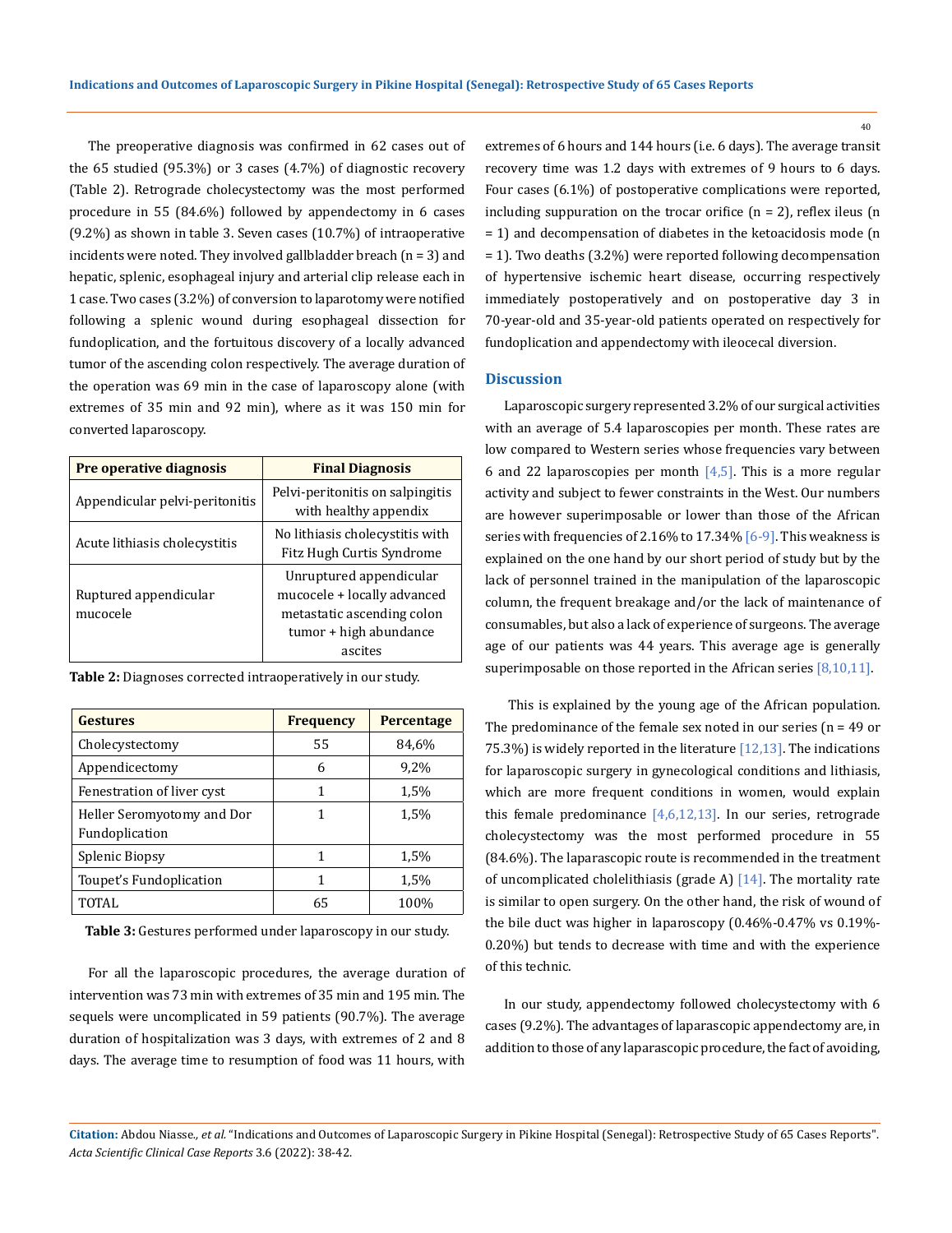The preoperative diagnosis was confirmed in 62 cases out of the 65 studied (95.3%) or 3 cases (4.7%) of diagnostic recovery (Table 2). Retrograde cholecystectomy was the most performed procedure in 55 (84.6%) followed by appendectomy in 6 cases (9.2%) as shown in table 3. Seven cases (10.7%) of intraoperative incidents were noted. They involved gallbladder breach  $(n = 3)$  and hepatic, splenic, esophageal injury and arterial clip release each in 1 case. Two cases (3.2%) of conversion to laparotomy were notified following a splenic wound during esophageal dissection for fundoplication, and the fortuitous discovery of a locally advanced tumor of the ascending colon respectively. The average duration of the operation was 69 min in the case of laparoscopy alone (with extremes of 35 min and 92 min), where as it was 150 min for converted laparoscopy.

| Pre operative diagnosis           | <b>Final Diagnosis</b>                                                                                                    |  |
|-----------------------------------|---------------------------------------------------------------------------------------------------------------------------|--|
| Appendicular pelvi-peritonitis    | Pelvi-peritonitis on salpingitis<br>with healthy appendix                                                                 |  |
| Acute lithiasis cholecystitis     | No lithiasis cholecystitis with<br>Fitz Hugh Curtis Syndrome                                                              |  |
| Ruptured appendicular<br>mucocele | Unruptured appendicular<br>mucocele + locally advanced<br>metastatic ascending colon<br>tumor + high abundance<br>ascites |  |

| <b>Gestures</b>                              | <b>Frequency</b> | Percentage |
|----------------------------------------------|------------------|------------|
| Cholecystectomy                              | 55               | 84,6%      |
| Appendicectomy                               | 6                | 9,2%       |
| Fenestration of liver cyst                   | 1                | 1,5%       |
| Heller Seromyotomy and Dor<br>Fundoplication | 1                | 1,5%       |
| Splenic Biopsy                               | 1                | 1,5%       |
| Toupet's Fundoplication                      | 1                | 1,5%       |
| <b>TOTAL</b>                                 | 65               | 100%       |

**Table 2:** Diagnoses corrected intraoperatively in our study.

**Table 3:** Gestures performed under laparoscopy in our study.

For all the laparoscopic procedures, the average duration of intervention was 73 min with extremes of 35 min and 195 min. The sequels were uncomplicated in 59 patients (90.7%). The average duration of hospitalization was 3 days, with extremes of 2 and 8 days. The average time to resumption of food was 11 hours, with

extremes of 6 hours and 144 hours (i.e. 6 days). The average transit recovery time was 1.2 days with extremes of 9 hours to 6 days. Four cases (6.1%) of postoperative complications were reported, including suppuration on the trocar orifice  $(n = 2)$ , reflex ileus  $(n = 1)$ = 1) and decompensation of diabetes in the ketoacidosis mode (n = 1). Two deaths (3.2%) were reported following decompensation of hypertensive ischemic heart disease, occurring respectively immediately postoperatively and on postoperative day 3 in 70-year-old and 35-year-old patients operated on respectively for fundoplication and appendectomy with ileocecal diversion.

#### **Discussion**

Laparoscopic surgery represented 3.2% of our surgical activities with an average of 5.4 laparoscopies per month. These rates are low compared to Western series whose frequencies vary between 6 and 22 laparoscopies per month  $[4,5]$ . This is a more regular activity and subject to fewer constraints in the West. Our numbers are however superimposable or lower than those of the African series with frequencies of 2.16% to 17.34% [6-9]. This weakness is explained on the one hand by our short period of study but by the lack of personnel trained in the manipulation of the laparoscopic column, the frequent breakage and/or the lack of maintenance of consumables, but also a lack of experience of surgeons. The average age of our patients was 44 years. This average age is generally superimposable on those reported in the African series  $[8,10,11]$ .

 This is explained by the young age of the African population. The predominance of the female sex noted in our series ( $n = 49$  or 75.3%) is widely reported in the literature [12,13]. The indications for laparoscopic surgery in gynecological conditions and lithiasis, which are more frequent conditions in women, would explain this female predominance  $[4,6,12,13]$ . In our series, retrograde cholecystectomy was the most performed procedure in 55 (84.6%). The laparascopic route is recommended in the treatment of uncomplicated cholelithiasis (grade A)  $[14]$ . The mortality rate is similar to open surgery. On the other hand, the risk of wound of the bile duct was higher in laparoscopy (0.46%-0.47% vs 0.19%- 0.20%) but tends to decrease with time and with the experience of this technic.

In our study, appendectomy followed cholecystectomy with 6 cases (9.2%). The advantages of laparascopic appendectomy are, in addition to those of any laparascopic procedure, the fact of avoiding,

**Citation:** Abdou Niasse*., et al.* "Indications and Outcomes of Laparoscopic Surgery in Pikine Hospital (Senegal): Retrospective Study of 65 Cases Reports". *Acta Scientific Clinical Case Reports* 3.6 (2022): 38-42.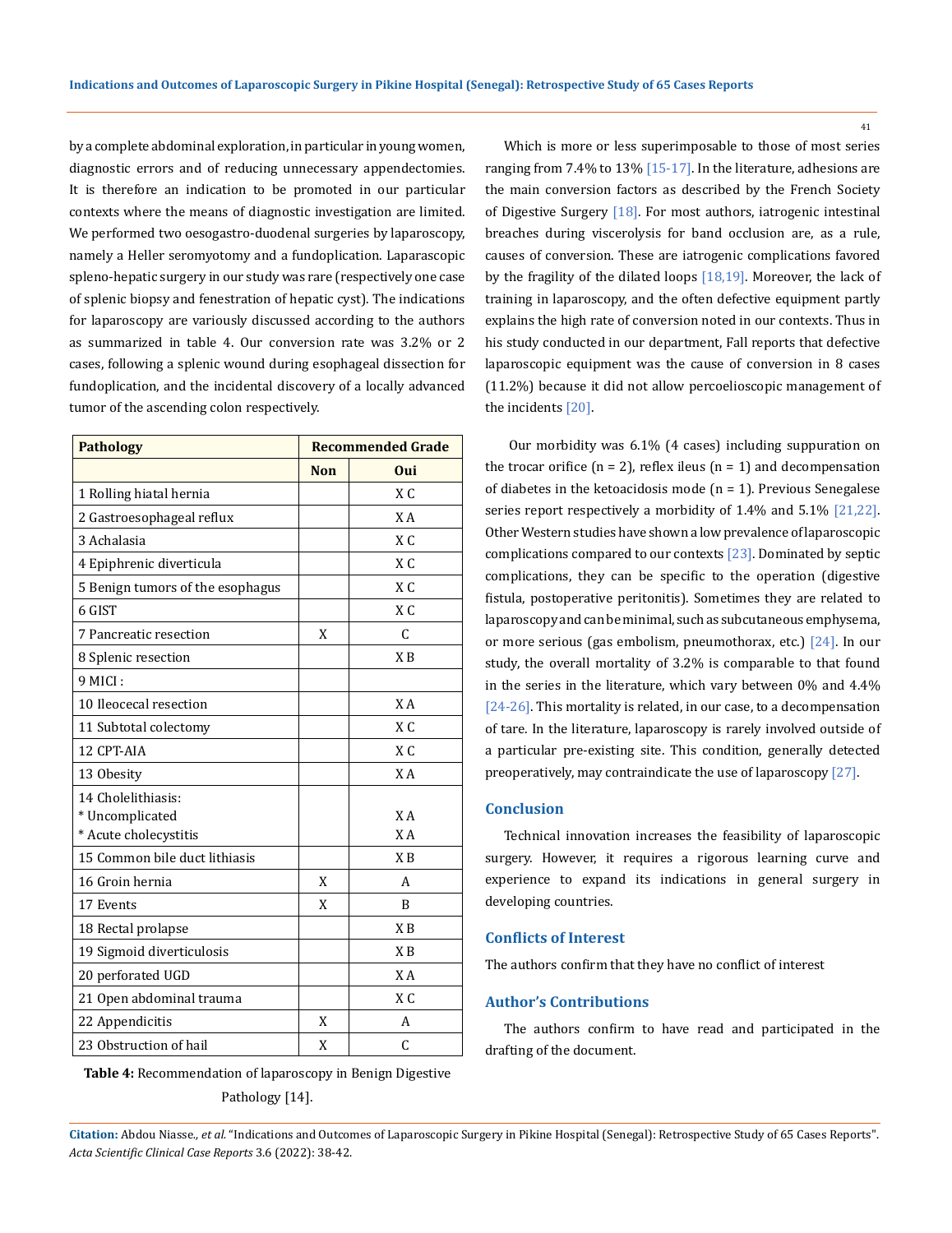by a complete abdominal exploration, in particular in young women, diagnostic errors and of reducing unnecessary appendectomies. It is therefore an indication to be promoted in our particular contexts where the means of diagnostic investigation are limited. We performed two oesogastro-duodenal surgeries by laparoscopy, namely a Heller seromyotomy and a fundoplication. Laparascopic spleno-hepatic surgery in our study was rare (respectively one case of splenic biopsy and fenestration of hepatic cyst). The indications for laparoscopy are variously discussed according to the authors as summarized in table 4. Our conversion rate was 3.2% or 2 cases, following a splenic wound during esophageal dissection for fundoplication, and the incidental discovery of a locally advanced tumor of the ascending colon respectively.

| <b>Pathology</b>                 | <b>Recommended Grade</b> |                |
|----------------------------------|--------------------------|----------------|
|                                  | <b>Non</b>               | Oui            |
| 1 Rolling hiatal hernia          |                          | $X \cap$       |
| 2 Gastroesophageal reflux        |                          | X A            |
| 3 Achalasia                      |                          | $X \subset C$  |
| 4 Epiphrenic diverticula         |                          | $X \subset C$  |
| 5 Benign tumors of the esophagus |                          | $X \subset C$  |
| 6 GIST                           |                          | XC             |
| 7 Pancreatic resection           | X                        | C              |
| 8 Splenic resection              |                          | X <sub>B</sub> |
| 9 MICI:                          |                          |                |
| 10 Ileocecal resection           |                          | X A            |
| 11 Subtotal colectomy            |                          | $X \subset C$  |
| 12 CPT-AIA                       |                          | $X \subset C$  |
| 13 Obesity                       |                          | X A            |
| 14 Cholelithiasis:               |                          |                |
| * Uncomplicated                  |                          | X A            |
| * Acute cholecystitis            |                          | X A            |
| 15 Common bile duct lithiasis    |                          | X <sub>B</sub> |
| 16 Groin hernia                  | X                        | A              |
| 17 Events                        | X                        | R              |
| 18 Rectal prolapse               |                          | X <sub>B</sub> |
| 19 Sigmoid diverticulosis        |                          | X <sub>B</sub> |
| 20 perforated UGD                |                          | X A            |
| 21 Open abdominal trauma         |                          | $X \subset C$  |
| 22 Appendicitis                  | X                        | А              |
| 23 Obstruction of hail           | X                        | C              |

**Table 4:** Recommendation of laparoscopy in Benign Digestive Pathology [14].

Which is more or less superimposable to those of most series ranging from 7.4% to 13% [15-17]. In the literature, adhesions are the main conversion factors as described by the French Society of Digestive Surgery  $[18]$ . For most authors, iatrogenic intestinal breaches during viscerolysis for band occlusion are, as a rule, causes of conversion. These are iatrogenic complications favored by the fragility of the dilated loops  $[18,19]$ . Moreover, the lack of training in laparoscopy, and the often defective equipment partly explains the high rate of conversion noted in our contexts. Thus in his study conducted in our department, Fall reports that defective laparoscopic equipment was the cause of conversion in 8 cases (11.2%) because it did not allow percoelioscopic management of the incidents [20].

 Our morbidity was 6.1% (4 cases) including suppuration on the trocar orifice  $(n = 2)$ , reflex ileus  $(n = 1)$  and decompensation of diabetes in the ketoacidosis mode ( $n = 1$ ). Previous Senegalese series report respectively a morbidity of 1.4% and 5.1% [21,22]. Other Western studies have shown a low prevalence of laparoscopic complications compared to our contexts [23]. Dominated by septic complications, they can be specific to the operation (digestive fistula, postoperative peritonitis). Sometimes they are related to laparoscopy and can be minimal, such as subcutaneous emphysema, or more serious (gas embolism, pneumothorax, etc.) [24]. In our study, the overall mortality of 3.2% is comparable to that found in the series in the literature, which vary between 0% and 4.4% [24-26]. This mortality is related, in our case, to a decompensation of tare. In the literature, laparoscopy is rarely involved outside of a particular pre-existing site. This condition, generally detected preoperatively, may contraindicate the use of laparoscopy [27].

### **Conclusion**

Technical innovation increases the feasibility of laparoscopic surgery. However, it requires a rigorous learning curve and experience to expand its indications in general surgery in developing countries.

#### **Conflicts of Interest**

The authors confirm that they have no conflict of interest

#### **Author's Contributions**

The authors confirm to have read and participated in the drafting of the document.

**Citation:** Abdou Niasse*., et al.* "Indications and Outcomes of Laparoscopic Surgery in Pikine Hospital (Senegal): Retrospective Study of 65 Cases Reports". *Acta Scientific Clinical Case Reports* 3.6 (2022): 38-42.